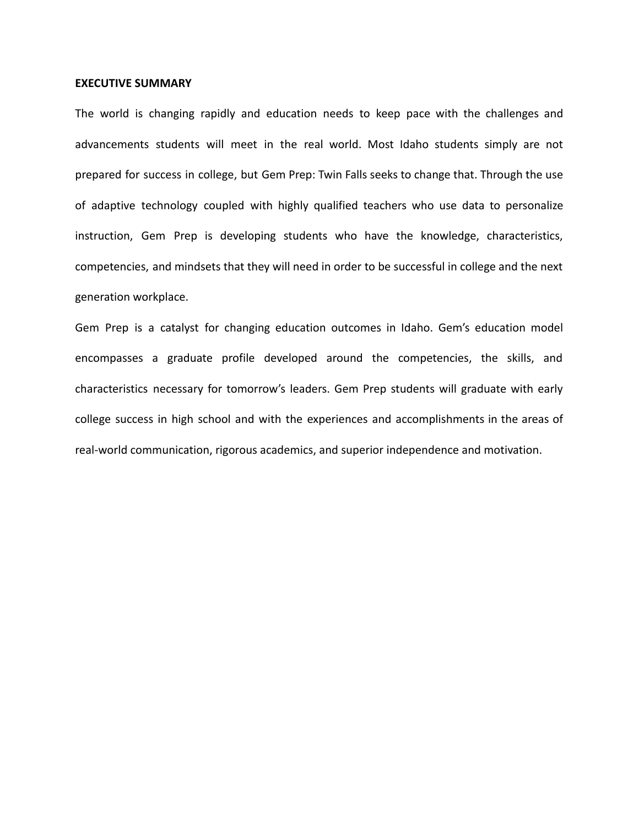## **EXECUTIVE SUMMARY**

The world is changing rapidly and education needs to keep pace with the challenges and advancements students will meet in the real world. Most Idaho students simply are not prepared for success in college, but Gem Prep: Twin Falls seeks to change that. Through the use of adaptive technology coupled with highly qualified teachers who use data to personalize instruction, Gem Prep is developing students who have the knowledge, characteristics, competencies, and mindsets that they will need in order to be successful in college and the next generation workplace.

Gem Prep is a catalyst for changing education outcomes in Idaho. Gem's education model encompasses a graduate profile developed around the competencies, the skills, and characteristics necessary for tomorrow's leaders. Gem Prep students will graduate with early college success in high school and with the experiences and accomplishments in the areas of real-world communication, rigorous academics, and superior independence and motivation.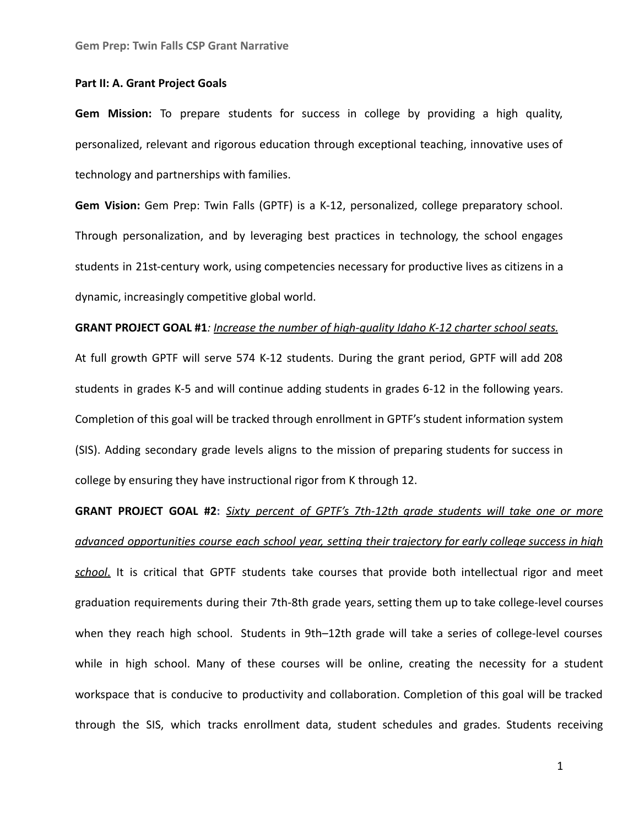## **Part II: A. Grant Project Goals**

**Gem Mission:** To prepare students for success in college by providing a high quality, personalized, relevant and rigorous education through exceptional teaching, innovative uses of technology and partnerships with families.

**Gem Vision:** Gem Prep: Twin Falls (GPTF) is a K-12, personalized, college preparatory school. Through personalization, and by leveraging best practices in technology, the school engages students in 21st-century work, using competencies necessary for productive lives as citizens in a dynamic, increasingly competitive global world.

## **GRANT PROJECT GOAL #1***: Increase the number of high-quality Idaho K-12 charter school seats.*

At full growth GPTF will serve 574 K-12 students. During the grant period, GPTF will add 208 students in grades K-5 and will continue adding students in grades 6-12 in the following years. Completion of this goal will be tracked through enrollment in GPTF's student information system (SIS). Adding secondary grade levels aligns to the mission of preparing students for success in college by ensuring they have instructional rigor from K through 12.

**GRANT PROJECT GOAL #2:** *Sixty percent of GPTF's 7th-12th grade students will take one or more advanced opportunities course each school year, setting their trajectory for early college success in high school*. It is critical that GPTF students take courses that provide both intellectual rigor and meet graduation requirements during their 7th-8th grade years, setting them up to take college-level courses when they reach high school. Students in 9th-12th grade will take a series of college-level courses while in high school. Many of these courses will be online, creating the necessity for a student workspace that is conducive to productivity and collaboration. Completion of this goal will be tracked through the SIS, which tracks enrollment data, student schedules and grades. Students receiving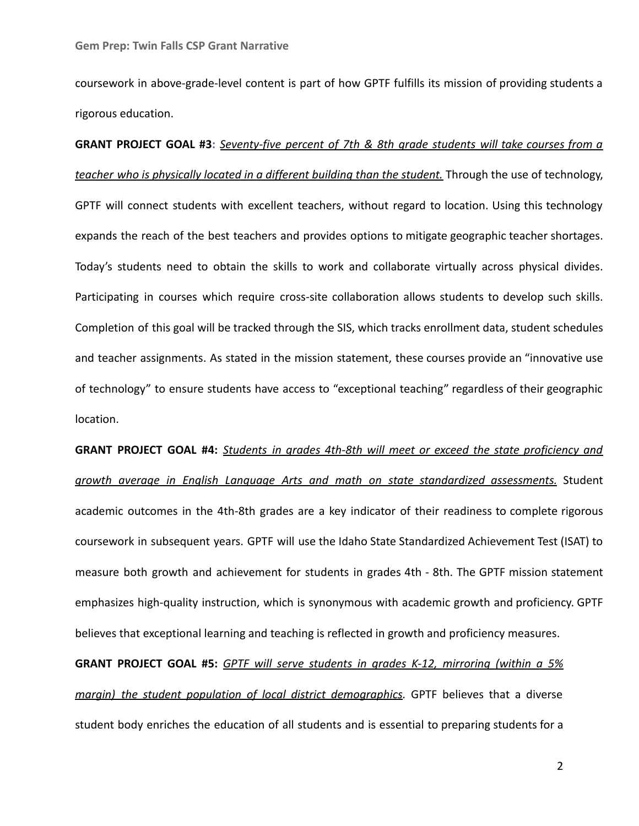coursework in above-grade-level content is part of how GPTF fulfills its mission of providing students a rigorous education.

**GRANT PROJECT GOAL #3:** *Seventy-five percent of 7th & 8th grade students will take courses from a teacher who is physically located in a different building than the student.* Through the use of technology, GPTF will connect students with excellent teachers, without regard to location. Using this technology expands the reach of the best teachers and provides options to mitigate geographic teacher shortages. Today's students need to obtain the skills to work and collaborate virtually across physical divides. Participating in courses which require cross-site collaboration allows students to develop such skills. Completion of this goal will be tracked through the SIS, which tracks enrollment data, student schedules and teacher assignments. As stated in the mission statement, these courses provide an "innovative use of technology" to ensure students have access to "exceptional teaching" regardless of their geographic location.

**GRANT PROJECT GOAL #4:** *Students in grades 4th-8th will meet or exceed the state proficiency and growth average in English Language Arts and math on state standardized assessments.* Student academic outcomes in the 4th-8th grades are a key indicator of their readiness to complete rigorous coursework in subsequent years. GPTF will use the Idaho State Standardized Achievement Test (ISAT) to measure both growth and achievement for students in grades 4th - 8th. The GPTF mission statement emphasizes high-quality instruction, which is synonymous with academic growth and proficiency. GPTF believes that exceptional learning and teaching is reflected in growth and proficiency measures.

**GRANT PROJECT GOAL #5:** *GPTF will serve students in grades K-12, mirroring (within a 5% margin) the student population of local district demographics.* GPTF believes that a diverse student body enriches the education of all students and is essential to preparing students for a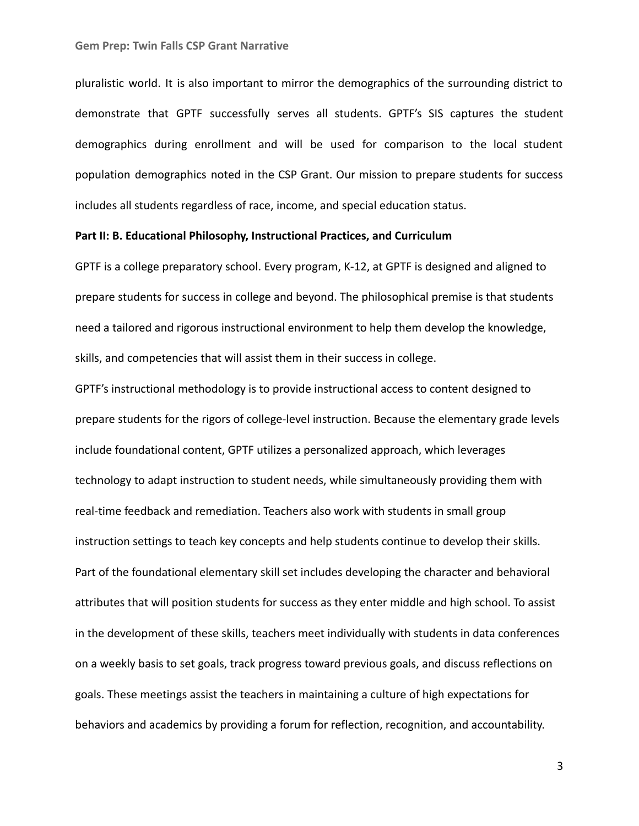pluralistic world. It is also important to mirror the demographics of the surrounding district to demonstrate that GPTF successfully serves all students. GPTF's SIS captures the student demographics during enrollment and will be used for comparison to the local student population demographics noted in the CSP Grant. Our mission to prepare students for success includes all students regardless of race, income, and special education status.

## **Part II: B. Educational Philosophy, Instructional Practices, and Curriculum**

GPTF is a college preparatory school. Every program, K-12, at GPTF is designed and aligned to prepare students for success in college and beyond. The philosophical premise is that students need a tailored and rigorous instructional environment to help them develop the knowledge, skills, and competencies that will assist them in their success in college.

GPTF's instructional methodology is to provide instructional access to content designed to prepare students for the rigors of college-level instruction. Because the elementary grade levels include foundational content, GPTF utilizes a personalized approach, which leverages technology to adapt instruction to student needs, while simultaneously providing them with real-time feedback and remediation. Teachers also work with students in small group instruction settings to teach key concepts and help students continue to develop their skills. Part of the foundational elementary skill set includes developing the character and behavioral attributes that will position students for success as they enter middle and high school. To assist in the development of these skills, teachers meet individually with students in data conferences on a weekly basis to set goals, track progress toward previous goals, and discuss reflections on goals. These meetings assist the teachers in maintaining a culture of high expectations for behaviors and academics by providing a forum for reflection, recognition, and accountability.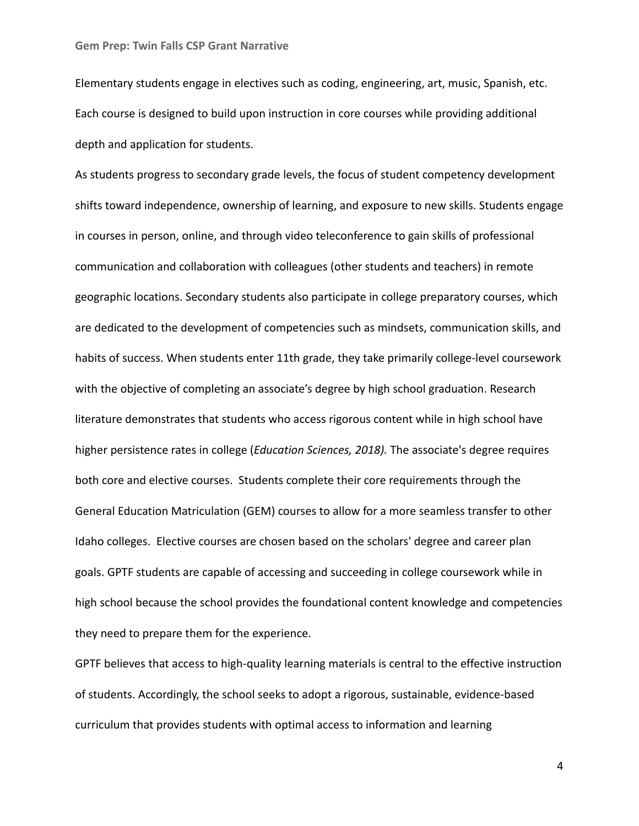Elementary students engage in electives such as coding, engineering, art, music, Spanish, etc. Each course is designed to build upon instruction in core courses while providing additional depth and application for students.

As students progress to secondary grade levels, the focus of student competency development shifts toward independence, ownership of learning, and exposure to new skills. Students engage in courses in person, online, and through video teleconference to gain skills of professional communication and collaboration with colleagues (other students and teachers) in remote geographic locations. Secondary students also participate in college preparatory courses, which are dedicated to the development of competencies such as mindsets, communication skills, and habits of success. When students enter 11th grade, they take primarily college-level coursework with the objective of completing an associate's degree by high school graduation. Research literature demonstrates that students who access rigorous content while in high school have higher persistence rates in college (*Education Sciences, 2018).* The associate's degree requires both core and elective courses. Students complete their core requirements through the General Education Matriculation (GEM) courses to allow for a more seamless transfer to other Idaho colleges. Elective courses are chosen based on the scholars' degree and career plan goals. GPTF students are capable of accessing and succeeding in college coursework while in high school because the school provides the foundational content knowledge and competencies they need to prepare them for the experience.

GPTF believes that access to high-quality learning materials is central to the effective instruction of students. Accordingly, the school seeks to adopt a rigorous, sustainable, evidence-based curriculum that provides students with optimal access to information and learning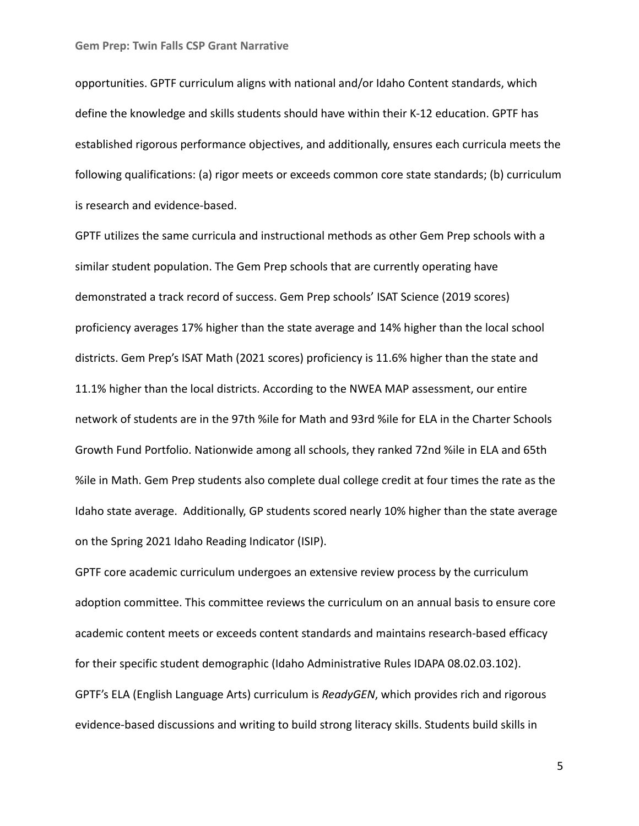opportunities. GPTF curriculum aligns with national and/or Idaho Content standards, which define the knowledge and skills students should have within their K-12 education. GPTF has established rigorous performance objectives, and additionally, ensures each curricula meets the following qualifications: (a) rigor meets or exceeds common core state standards; (b) curriculum is research and evidence-based.

GPTF utilizes the same curricula and instructional methods as other Gem Prep schools with a similar student population. The Gem Prep schools that are currently operating have demonstrated a track record of success. Gem Prep schools' ISAT Science (2019 scores) proficiency averages 17% higher than the state average and 14% higher than the local school districts. Gem Prep's ISAT Math (2021 scores) proficiency is 11.6% higher than the state and 11.1% higher than the local districts. According to the NWEA MAP assessment, our entire network of students are in the 97th %ile for Math and 93rd %ile for ELA in the Charter Schools Growth Fund Portfolio. Nationwide among all schools, they ranked 72nd %ile in ELA and 65th %ile in Math. Gem Prep students also complete dual college credit at four times the rate as the Idaho state average. Additionally, GP students scored nearly 10% higher than the state average on the Spring 2021 Idaho Reading Indicator (ISIP).

GPTF core academic curriculum undergoes an extensive review process by the curriculum adoption committee. This committee reviews the curriculum on an annual basis to ensure core academic content meets or exceeds content standards and maintains research-based efficacy for their specific student demographic (Idaho Administrative Rules IDAPA 08.02.03.102). GPTF's ELA (English Language Arts) curriculum is *ReadyGEN*, which provides rich and rigorous evidence-based discussions and writing to build strong literacy skills. Students build skills in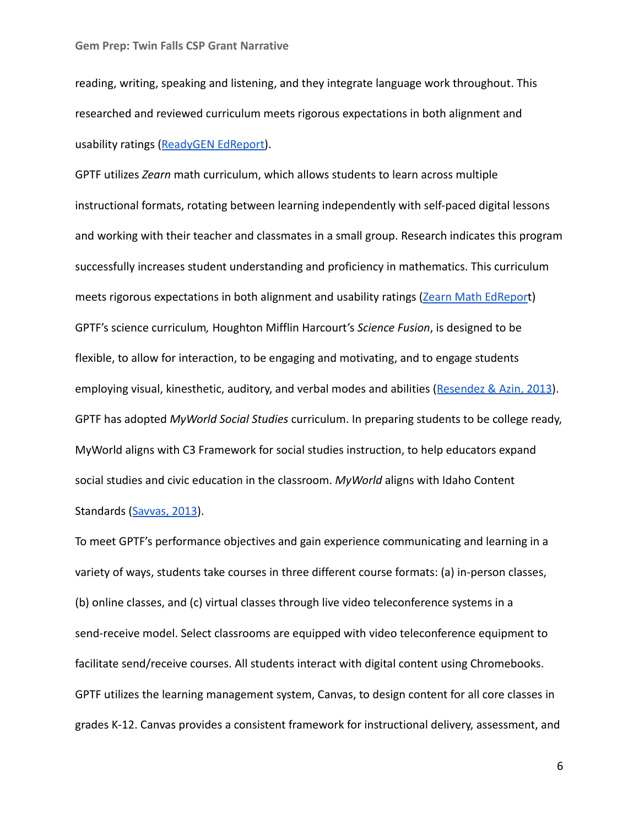reading, writing, speaking and listening, and they integrate language work throughout. This researched and reviewed curriculum meets rigorous expectations in both alignment and usability ratings ([ReadyGEN EdReport\)](https://www.edreports.org/reports/overview/readygen-2016).

GPTF utilizes *Zearn* math curriculum, which allows students to learn across multiple instructional formats, rotating between learning independently with self-paced digital lessons and working with their teacher and classmates in a small group. Research indicates this program successfully increases student understanding and proficiency in mathematics. This curriculum meets rigorous expectations in both alignment and usability ratings [\(Zearn Math EdReport](https://www.edreports.org/reports/overview/zearn-2018)) GPTF's science curriculum*,* Houghton Mifflin Harcourt's *Science Fusion*, is designed to be flexible, to allow for interaction, to be engaging and motivating, and to engage students employing visual, kinesthetic, auditory, and verbal modes and abilities ([Resendez & Azin, 2013](http://hmhco-v1.prod.webpr.hmhco.com/~/media/sites/home/educators/education-topics/hmh-efficacy/hmh_sciencefusion_multi-year_rct_at_grades_6-8_201112_and_201213.pdf?la=en)). GPTF has adopted *MyWorld Social Studies* curriculum. In preparing students to be college ready, MyWorld aligns with C3 Framework for social studies instruction, to help educators expand social studies and civic education in the classroom. *MyWorld* aligns with Idaho Content Standards ([Savvas, 2013](https://www.savvas.com/index.cfm?locator=PS19Ie&PMDbSiteId=2781&PMDbSolutionId=6724&PMDbSubSolutionId=&PMDbCategoryId=815&PMDbSubCategoryId=25661&PMDbSubjectAreaId=&PMDbProgramId=85502)).

To meet GPTF's performance objectives and gain experience communicating and learning in a variety of ways, students take courses in three different course formats: (a) in-person classes, (b) online classes, and (c) virtual classes through live video teleconference systems in a send-receive model. Select classrooms are equipped with video teleconference equipment to facilitate send/receive courses. All students interact with digital content using Chromebooks. GPTF utilizes the learning management system, Canvas, to design content for all core classes in grades K-12. Canvas provides a consistent framework for instructional delivery, assessment, and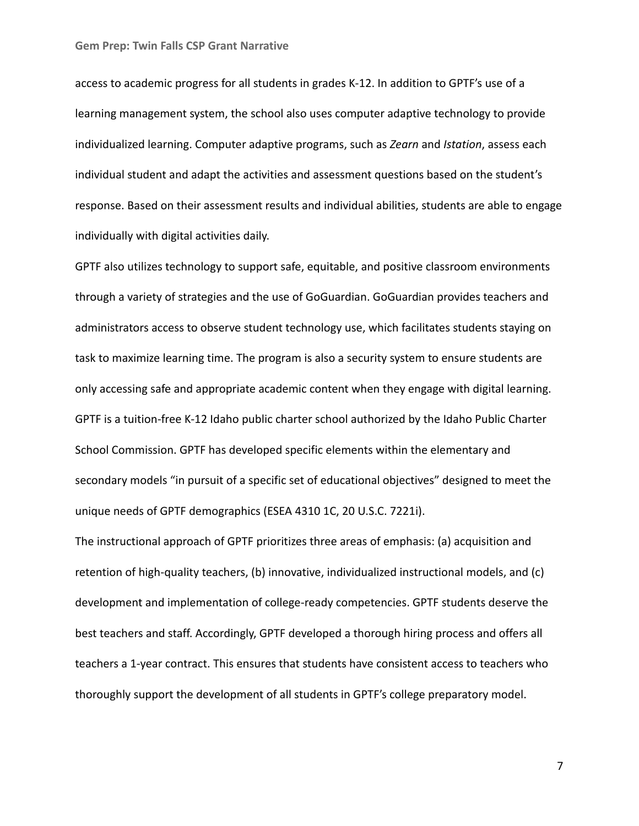access to academic progress for all students in grades K-12. In addition to GPTF's use of a learning management system, the school also uses computer adaptive technology to provide individualized learning. Computer adaptive programs, such as *Zearn* and *Istation*, assess each individual student and adapt the activities and assessment questions based on the student's response. Based on their assessment results and individual abilities, students are able to engage individually with digital activities daily.

GPTF also utilizes technology to support safe, equitable, and positive classroom environments through a variety of strategies and the use of GoGuardian. GoGuardian provides teachers and administrators access to observe student technology use, which facilitates students staying on task to maximize learning time. The program is also a security system to ensure students are only accessing safe and appropriate academic content when they engage with digital learning. GPTF is a tuition-free K-12 Idaho public charter school authorized by the Idaho Public Charter School Commission. GPTF has developed specific elements within the elementary and secondary models "in pursuit of a specific set of educational objectives" designed to meet the unique needs of GPTF demographics (ESEA 4310 1C, 20 U.S.C. 7221i).

The instructional approach of GPTF prioritizes three areas of emphasis: (a) acquisition and retention of high-quality teachers, (b) innovative, individualized instructional models, and (c) development and implementation of college-ready competencies. GPTF students deserve the best teachers and staff. Accordingly, GPTF developed a thorough hiring process and offers all teachers a 1-year contract. This ensures that students have consistent access to teachers who thoroughly support the development of all students in GPTF's college preparatory model.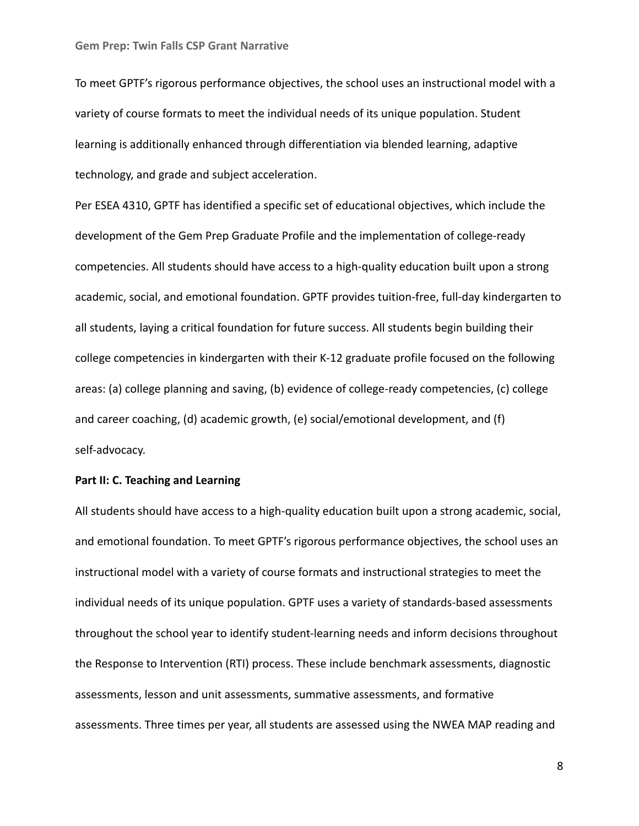To meet GPTF's rigorous performance objectives, the school uses an instructional model with a variety of course formats to meet the individual needs of its unique population. Student learning is additionally enhanced through differentiation via blended learning, adaptive technology, and grade and subject acceleration.

Per ESEA 4310, GPTF has identified a specific set of educational objectives, which include the development of the Gem Prep Graduate Profile and the implementation of college-ready competencies. All students should have access to a high-quality education built upon a strong academic, social, and emotional foundation. GPTF provides tuition-free, full-day kindergarten to all students, laying a critical foundation for future success. All students begin building their college competencies in kindergarten with their K-12 graduate profile focused on the following areas: (a) college planning and saving, (b) evidence of college-ready competencies, (c) college and career coaching, (d) academic growth, (e) social/emotional development, and (f) self-advocacy.

# **Part II: C. Teaching and Learning**

All students should have access to a high-quality education built upon a strong academic, social, and emotional foundation. To meet GPTF's rigorous performance objectives, the school uses an instructional model with a variety of course formats and instructional strategies to meet the individual needs of its unique population. GPTF uses a variety of standards-based assessments throughout the school year to identify student-learning needs and inform decisions throughout the Response to Intervention (RTI) process. These include benchmark assessments, diagnostic assessments, lesson and unit assessments, summative assessments, and formative assessments. Three times per year, all students are assessed using the NWEA MAP reading and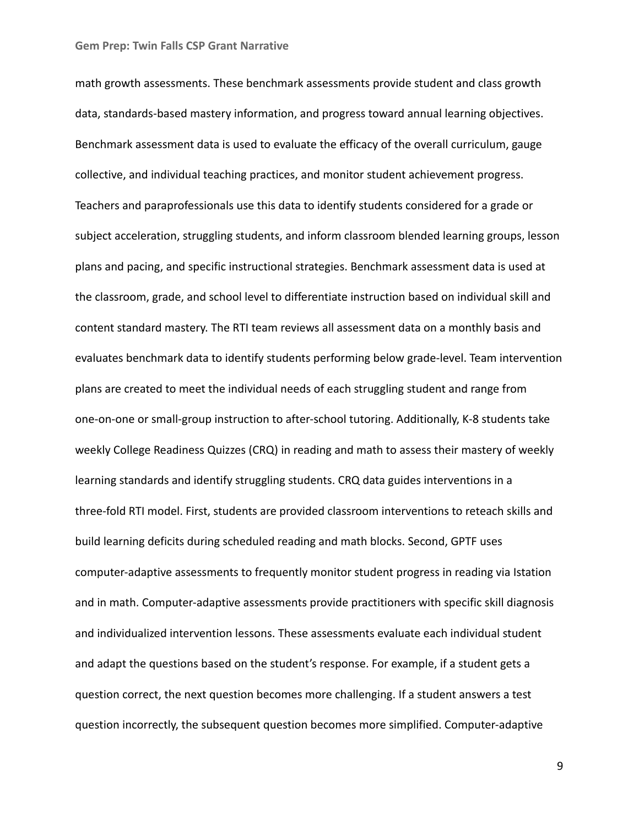math growth assessments. These benchmark assessments provide student and class growth data, standards-based mastery information, and progress toward annual learning objectives. Benchmark assessment data is used to evaluate the efficacy of the overall curriculum, gauge collective, and individual teaching practices, and monitor student achievement progress. Teachers and paraprofessionals use this data to identify students considered for a grade or subject acceleration, struggling students, and inform classroom blended learning groups, lesson plans and pacing, and specific instructional strategies. Benchmark assessment data is used at the classroom, grade, and school level to differentiate instruction based on individual skill and content standard mastery. The RTI team reviews all assessment data on a monthly basis and evaluates benchmark data to identify students performing below grade-level. Team intervention plans are created to meet the individual needs of each struggling student and range from one-on-one or small-group instruction to after-school tutoring. Additionally, K-8 students take weekly College Readiness Quizzes (CRQ) in reading and math to assess their mastery of weekly learning standards and identify struggling students. CRQ data guides interventions in a three-fold RTI model. First, students are provided classroom interventions to reteach skills and build learning deficits during scheduled reading and math blocks. Second, GPTF uses computer-adaptive assessments to frequently monitor student progress in reading via Istation and in math. Computer-adaptive assessments provide practitioners with specific skill diagnosis and individualized intervention lessons. These assessments evaluate each individual student and adapt the questions based on the student's response. For example, if a student gets a question correct, the next question becomes more challenging. If a student answers a test question incorrectly, the subsequent question becomes more simplified. Computer-adaptive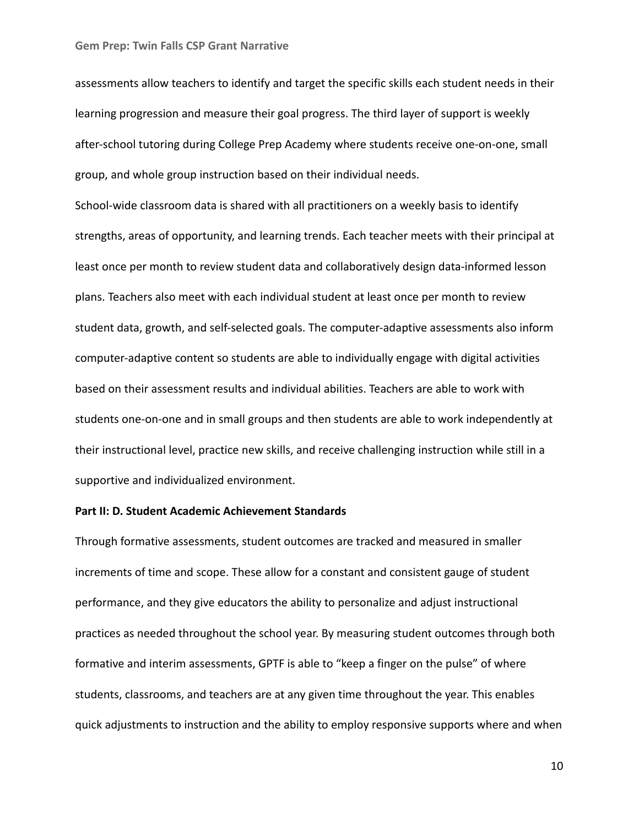assessments allow teachers to identify and target the specific skills each student needs in their learning progression and measure their goal progress. The third layer of support is weekly after-school tutoring during College Prep Academy where students receive one-on-one, small group, and whole group instruction based on their individual needs.

School-wide classroom data is shared with all practitioners on a weekly basis to identify strengths, areas of opportunity, and learning trends. Each teacher meets with their principal at least once per month to review student data and collaboratively design data-informed lesson plans. Teachers also meet with each individual student at least once per month to review student data, growth, and self-selected goals. The computer-adaptive assessments also inform computer-adaptive content so students are able to individually engage with digital activities based on their assessment results and individual abilities. Teachers are able to work with students one-on-one and in small groups and then students are able to work independently at their instructional level, practice new skills, and receive challenging instruction while still in a supportive and individualized environment.

## **Part II: D. Student Academic Achievement Standards**

Through formative assessments, student outcomes are tracked and measured in smaller increments of time and scope. These allow for a constant and consistent gauge of student performance, and they give educators the ability to personalize and adjust instructional practices as needed throughout the school year. By measuring student outcomes through both formative and interim assessments, GPTF is able to "keep a finger on the pulse" of where students, classrooms, and teachers are at any given time throughout the year. This enables quick adjustments to instruction and the ability to employ responsive supports where and when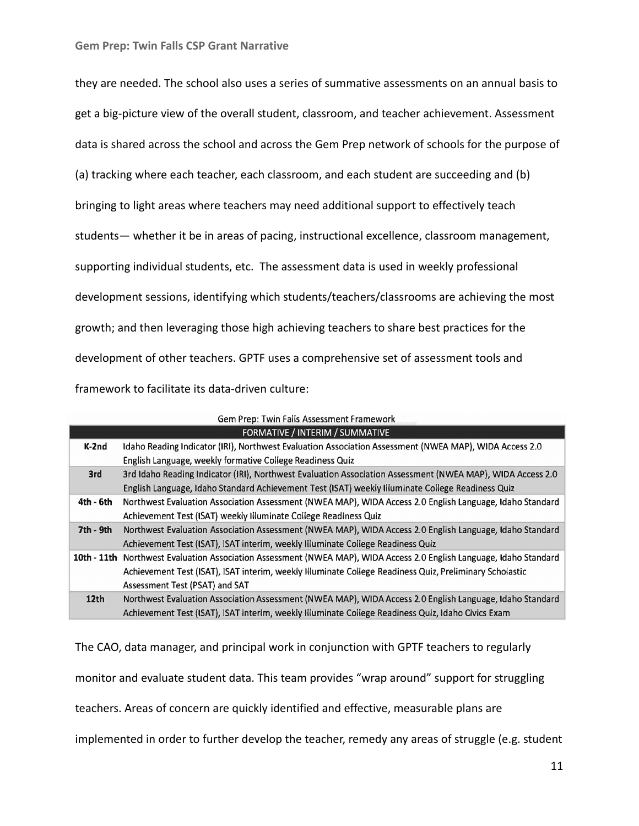| they are needed. The school also uses a series of summative assessments on an annual basis to  |
|------------------------------------------------------------------------------------------------|
| get a big-picture view of the overall student, classroom, and teacher achievement. Assessment  |
| data is shared across the school and across the Gem Prep network of schools for the purpose of |
| (a) tracking where each teacher, each classroom, and each student are succeeding and (b)       |
| bringing to light areas where teachers may need additional support to effectively teach        |
| students - whether it be in areas of pacing, instructional excellence, classroom management,   |
| supporting individual students, etc. The assessment data is used in weekly professional        |
| development sessions, identifying which students/teachers/classrooms are achieving the most    |
| growth; and then leveraging those high achieving teachers to share best practices for the      |
| development of other teachers. GPTF uses a comprehensive set of assessment tools and           |
| framework to facilitate its data-driven culture:                                               |

|                                 | Gem Prep: Twin Falls Assessment Framework                                                                            |  |  |  |  |  |  |
|---------------------------------|----------------------------------------------------------------------------------------------------------------------|--|--|--|--|--|--|
| FORMATIVE / INTERIM / SUMMATIVE |                                                                                                                      |  |  |  |  |  |  |
| $K-2nd$                         | Idaho Reading Indicator (IRI), Northwest Evaluation Association Assessment (NWEA MAP), WIDA Access 2.0               |  |  |  |  |  |  |
|                                 | English Language, weekly formative College Readiness Quiz                                                            |  |  |  |  |  |  |
| 3rd                             | 3rd Idaho Reading Indicator (IRI), Northwest Evaluation Association Assessment (NWEA MAP), WIDA Access 2.0           |  |  |  |  |  |  |
|                                 | English Language, Idaho Standard Achievement Test (ISAT) weekly Illuminate College Readiness Quiz                    |  |  |  |  |  |  |
| 4th - 6th                       | Northwest Evaluation Association Assessment (NWEA MAP), WIDA Access 2.0 English Language, Idaho Standard             |  |  |  |  |  |  |
|                                 | Achievement Test (ISAT) weekly Illuminate College Readiness Quiz                                                     |  |  |  |  |  |  |
| 7th - 9th                       | Northwest Evaluation Association Assessment (NWEA MAP), WIDA Access 2.0 English Language, Idaho Standard             |  |  |  |  |  |  |
|                                 | Achievement Test (ISAT), ISAT interim, weekly Illuminate College Readiness Quiz                                      |  |  |  |  |  |  |
|                                 | 10th - 11th Northwest Evaluation Association Assessment (NWEA MAP), WIDA Access 2.0 English Language, Idaho Standard |  |  |  |  |  |  |
|                                 | Achievement Test (ISAT), ISAT interim, weekly Illuminate College Readiness Quiz, Preliminary Scholastic              |  |  |  |  |  |  |
|                                 | Assessment Test (PSAT) and SAT                                                                                       |  |  |  |  |  |  |
| 12 <sub>th</sub>                | Northwest Evaluation Association Assessment (NWEA MAP), WIDA Access 2.0 English Language, Idaho Standard             |  |  |  |  |  |  |
|                                 | Achievement Test (ISAT), ISAT interim, weekly Illuminate College Readiness Quiz, Idaho Civics Exam                   |  |  |  |  |  |  |

The CAO, data manager, and principal work in conjunction with GPTF teachers to regularly monitor and evaluate student data. This team provides "wrap around" support for struggling teachers. Areas of concern are quickly identified and effective, measurable plans are implemented in order to further develop the teacher, remedy any areas of struggle (e.g. student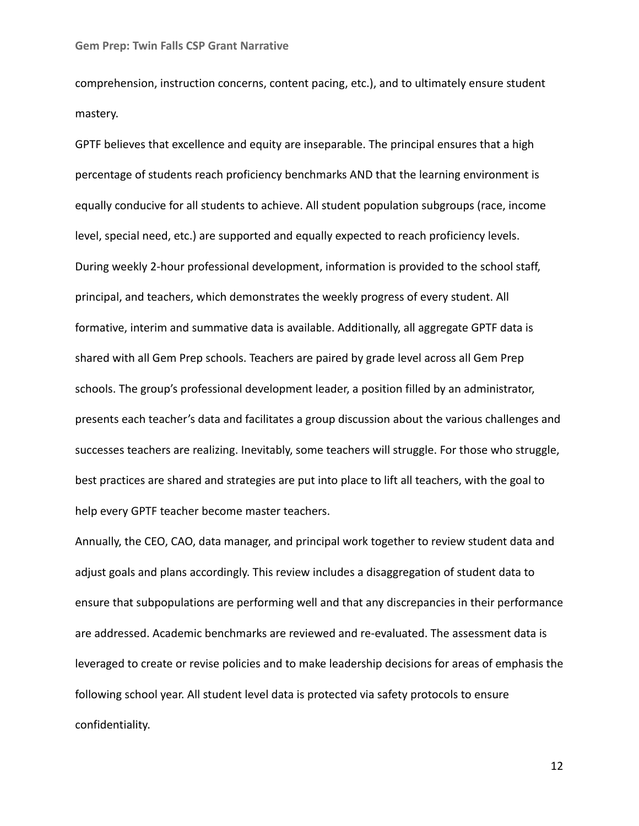comprehension, instruction concerns, content pacing, etc.), and to ultimately ensure student mastery.

GPTF believes that excellence and equity are inseparable. The principal ensures that a high percentage of students reach proficiency benchmarks AND that the learning environment is equally conducive for all students to achieve. All student population subgroups (race, income level, special need, etc.) are supported and equally expected to reach proficiency levels. During weekly 2-hour professional development, information is provided to the school staff, principal, and teachers, which demonstrates the weekly progress of every student. All formative, interim and summative data is available. Additionally, all aggregate GPTF data is shared with all Gem Prep schools. Teachers are paired by grade level across all Gem Prep schools. The group's professional development leader, a position filled by an administrator, presents each teacher's data and facilitates a group discussion about the various challenges and successes teachers are realizing. Inevitably, some teachers will struggle. For those who struggle, best practices are shared and strategies are put into place to lift all teachers, with the goal to help every GPTF teacher become master teachers.

Annually, the CEO, CAO, data manager, and principal work together to review student data and adjust goals and plans accordingly. This review includes a disaggregation of student data to ensure that subpopulations are performing well and that any discrepancies in their performance are addressed. Academic benchmarks are reviewed and re-evaluated. The assessment data is leveraged to create or revise policies and to make leadership decisions for areas of emphasis the following school year. All student level data is protected via safety protocols to ensure confidentiality.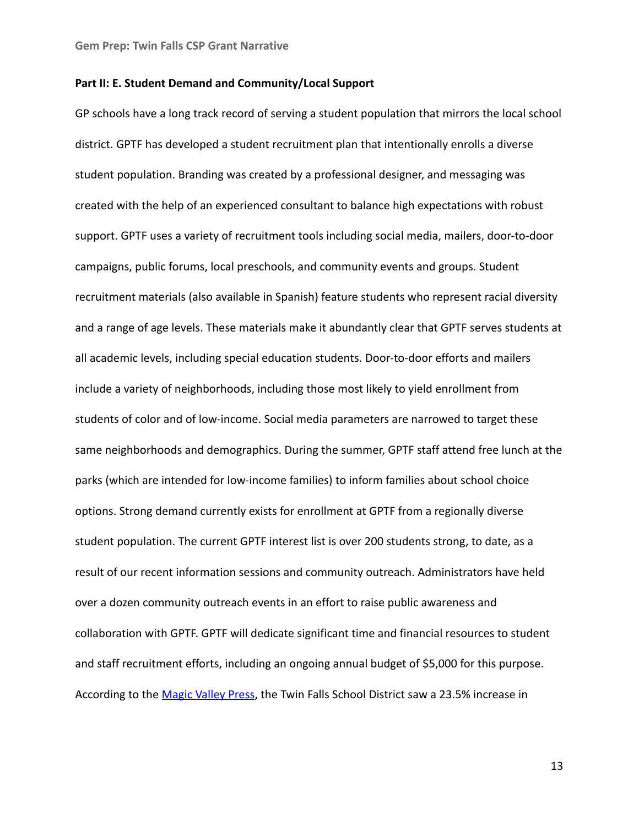## **Part II: E. Student Demand and Community/Local Support**

GP schools have a long track record of serving a student population that mirrors the local school district. GPTF has developed a student recruitment plan that intentionally enrolls a diverse student population. Branding was created by a professional designer, and messaging was created with the help of an experienced consultant to balance high expectations with robust support. GPTF uses a variety of recruitment tools including social media, mailers, door-to-door campaigns, public forums, local preschools, and community events and groups. Student recruitment materials (also available in Spanish) feature students who represent racial diversity and a range of age levels. These materials make it abundantly clear that GPTF serves students at all academic levels, including special education students. Door-to-door efforts and mailers include a variety of neighborhoods, including those most likely to yield enrollment from students of color and of low-income. Social media parameters are narrowed to target these same neighborhoods and demographics. During the summer, GPTF staff attend free lunch at the parks (which are intended for low-income families) to inform families about school choice options. Strong demand currently exists for enrollment at GPTF from a regionally diverse student population. The current GPTF interest list is over 200 students strong, to date, as a result of our recent information sessions and community outreach. Administrators have held over a dozen community outreach events in an effort to raise public awareness and collaboration with GPTF. GPTF will dedicate significant time and financial resources to student and staff recruitment efforts, including an ongoing annual budget of \$5,000 for this purpose. According to the [Magic Valley Press](https://magicvalley.com/news/local/education/magic-valley-schools-weigh-options-to-deal-with-enrollment-growth/article_a3f025cc-4a9a-5322-b73d-9ff2c5aa4b85.html), the Twin Falls School District saw a 23.5% increase in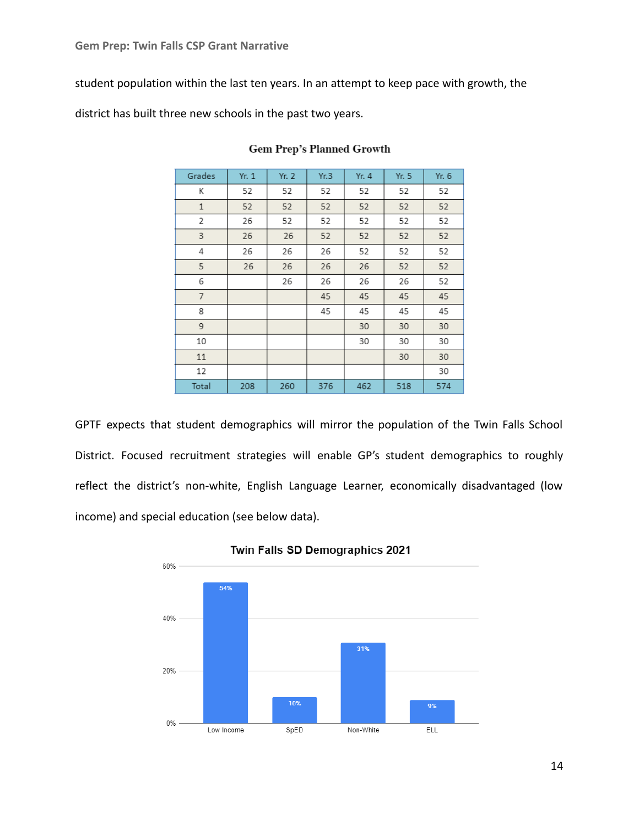student population within the last ten years. In an attempt to keep pace with growth, the

district has built three new schools in the past two years.

| Grades         | Yr. 1 | Yr. 2 | Yr.3 | Yr. 4 | Yr. 5 | Yr. 6 |
|----------------|-------|-------|------|-------|-------|-------|
| К              | 52    | 52    | 52   | 52    | 52    | 52    |
| $\mathbf{1}$   | 52    | 52    | 52   | 52    | 52    | 52    |
| 2              | 26    | 52    | 52   | 52    | 52    | 52    |
| 3              | 26    | 26    | 52   | 52    | 52    | 52    |
| 4              | 26    | 26    | 26   | 52    | 52    | 52    |
| 5              | 26    | 26    | 26   | 26    | 52    | 52    |
| 6              |       | 26    | 26   | 26    | 26    | 52    |
| $\overline{7}$ |       |       | 45   | 45    | 45    | 45    |
| 8              |       |       | 45   | 45    | 45    | 45    |
| 9              |       |       |      | 30    | 30    | 30    |
| 10             |       |       |      | 30    | 30    | 30    |
| 11             |       |       |      |       | 30    | 30    |
| 12             |       |       |      |       |       | 30    |
| Total          | 208   | 260   | 376  | 462   | 518   | 574   |

## **Gem Prep's Planned Growth**

GPTF expects that student demographics will mirror the population of the Twin Falls School District. Focused recruitment strategies will enable GP's student demographics to roughly reflect the district's non-white, English Language Learner, economically disadvantaged (low income) and special education (see below data).



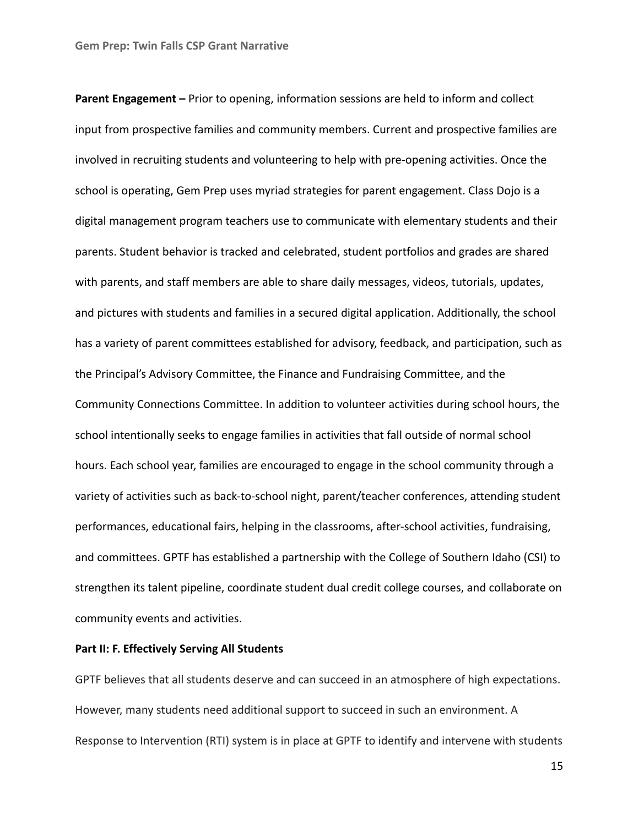**Parent Engagement –** Prior to opening, information sessions are held to inform and collect input from prospective families and community members. Current and prospective families are involved in recruiting students and volunteering to help with pre-opening activities. Once the school is operating, Gem Prep uses myriad strategies for parent engagement. Class Dojo is a digital management program teachers use to communicate with elementary students and their parents. Student behavior is tracked and celebrated, student portfolios and grades are shared with parents, and staff members are able to share daily messages, videos, tutorials, updates, and pictures with students and families in a secured digital application. Additionally, the school has a variety of parent committees established for advisory, feedback, and participation, such as the Principal's Advisory Committee, the Finance and Fundraising Committee, and the Community Connections Committee. In addition to volunteer activities during school hours, the school intentionally seeks to engage families in activities that fall outside of normal school hours. Each school year, families are encouraged to engage in the school community through a variety of activities such as back-to-school night, parent/teacher conferences, attending student performances, educational fairs, helping in the classrooms, after-school activities, fundraising, and committees. GPTF has established a partnership with the College of Southern Idaho (CSI) to strengthen its talent pipeline, coordinate student dual credit college courses, and collaborate on community events and activities.

# **Part II: F. Effectively Serving All Students**

GPTF believes that all students deserve and can succeed in an atmosphere of high expectations. However, many students need additional support to succeed in such an environment. A Response to Intervention (RTI) system is in place at GPTF to identify and intervene with students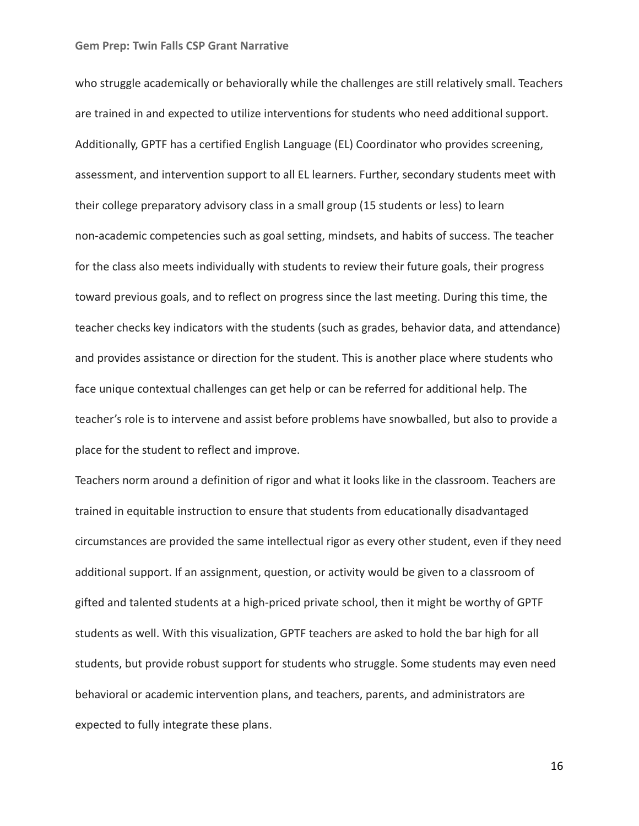who struggle academically or behaviorally while the challenges are still relatively small. Teachers are trained in and expected to utilize interventions for students who need additional support. Additionally, GPTF has a certified English Language (EL) Coordinator who provides screening, assessment, and intervention support to all EL learners. Further, secondary students meet with their college preparatory advisory class in a small group (15 students or less) to learn non-academic competencies such as goal setting, mindsets, and habits of success. The teacher for the class also meets individually with students to review their future goals, their progress toward previous goals, and to reflect on progress since the last meeting. During this time, the teacher checks key indicators with the students (such as grades, behavior data, and attendance) and provides assistance or direction for the student. This is another place where students who face unique contextual challenges can get help or can be referred for additional help. The teacher's role is to intervene and assist before problems have snowballed, but also to provide a place for the student to reflect and improve.

Teachers norm around a definition of rigor and what it looks like in the classroom. Teachers are trained in equitable instruction to ensure that students from educationally disadvantaged circumstances are provided the same intellectual rigor as every other student, even if they need additional support. If an assignment, question, or activity would be given to a classroom of gifted and talented students at a high-priced private school, then it might be worthy of GPTF students as well. With this visualization, GPTF teachers are asked to hold the bar high for all students, but provide robust support for students who struggle. Some students may even need behavioral or academic intervention plans, and teachers, parents, and administrators are expected to fully integrate these plans.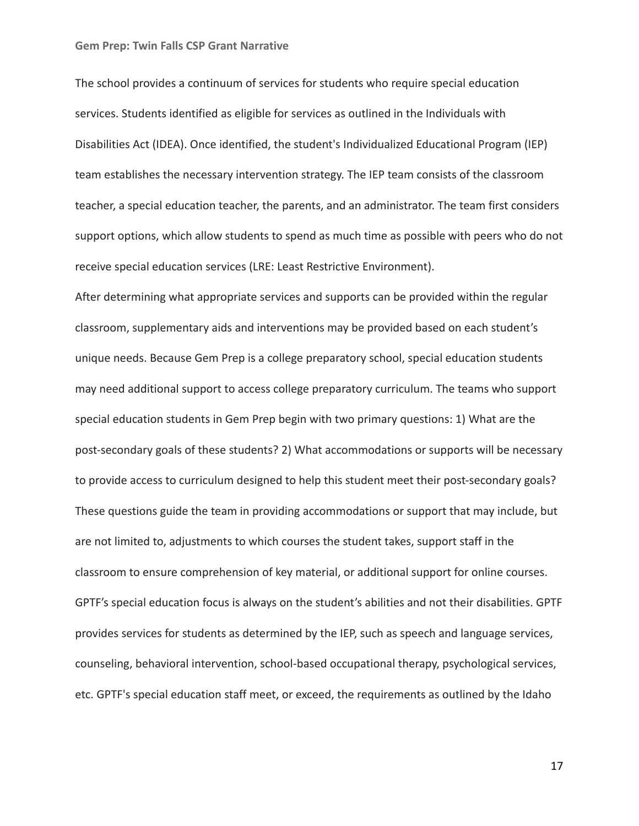The school provides a continuum of services for students who require special education services. Students identified as eligible for services as outlined in the Individuals with Disabilities Act (IDEA). Once identified, the student's Individualized Educational Program (IEP) team establishes the necessary intervention strategy. The IEP team consists of the classroom teacher, a special education teacher, the parents, and an administrator. The team first considers support options, which allow students to spend as much time as possible with peers who do not receive special education services (LRE: Least Restrictive Environment).

After determining what appropriate services and supports can be provided within the regular classroom, supplementary aids and interventions may be provided based on each student's unique needs. Because Gem Prep is a college preparatory school, special education students may need additional support to access college preparatory curriculum. The teams who support special education students in Gem Prep begin with two primary questions: 1) What are the post-secondary goals of these students? 2) What accommodations or supports will be necessary to provide access to curriculum designed to help this student meet their post-secondary goals? These questions guide the team in providing accommodations or support that may include, but are not limited to, adjustments to which courses the student takes, support staff in the classroom to ensure comprehension of key material, or additional support for online courses. GPTF's special education focus is always on the student's abilities and not their disabilities. GPTF provides services for students as determined by the IEP, such as speech and language services, counseling, behavioral intervention, school-based occupational therapy, psychological services, etc. GPTF's special education staff meet, or exceed, the requirements as outlined by the Idaho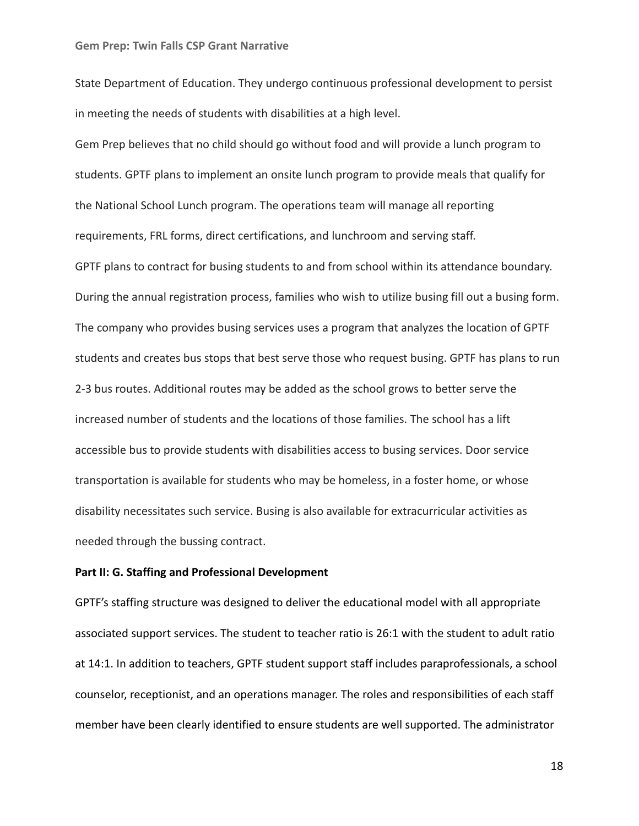State Department of Education. They undergo continuous professional development to persist in meeting the needs of students with disabilities at a high level.

Gem Prep believes that no child should go without food and will provide a lunch program to students. GPTF plans to implement an onsite lunch program to provide meals that qualify for the National School Lunch program. The operations team will manage all reporting requirements, FRL forms, direct certifications, and lunchroom and serving staff. GPTF plans to contract for busing students to and from school within its attendance boundary. During the annual registration process, families who wish to utilize busing fill out a busing form. The company who provides busing services uses a program that analyzes the location of GPTF students and creates bus stops that best serve those who request busing. GPTF has plans to run 2-3 bus routes. Additional routes may be added as the school grows to better serve the increased number of students and the locations of those families. The school has a lift accessible bus to provide students with disabilities access to busing services. Door service transportation is available for students who may be homeless, in a foster home, or whose disability necessitates such service. Busing is also available for extracurricular activities as needed through the bussing contract.

## **Part II: G. Staffing and Professional Development**

GPTF's staffing structure was designed to deliver the educational model with all appropriate associated support services. The student to teacher ratio is 26:1 with the student to adult ratio at 14:1. In addition to teachers, GPTF student support staff includes paraprofessionals, a school counselor, receptionist, and an operations manager. The roles and responsibilities of each staff member have been clearly identified to ensure students are well supported. The administrator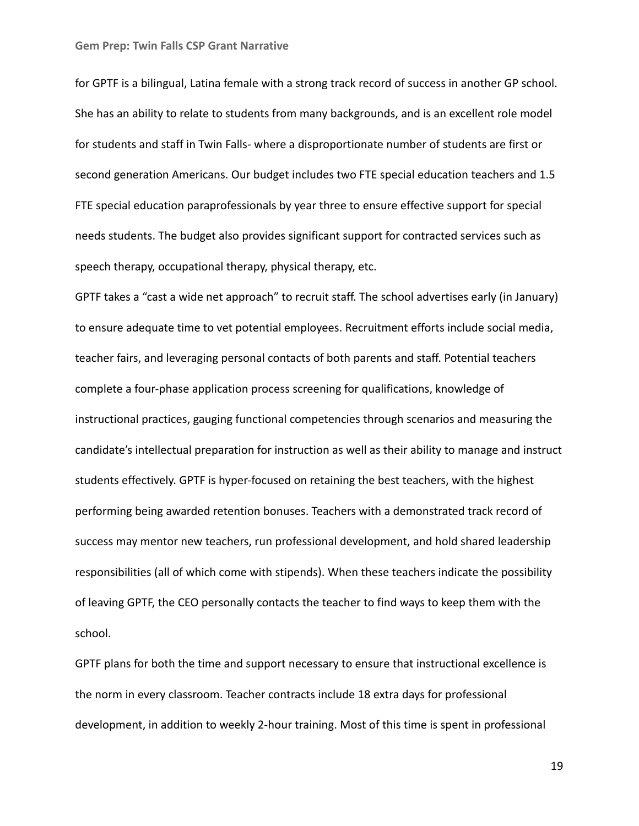for GPTF is a bilingual, Latina female with a strong track record of success in another GP school. She has an ability to relate to students from many backgrounds, and is an excellent role model for students and staff in Twin Falls- where a disproportionate number of students are first or second generation Americans. Our budget includes two FTE special education teachers and 1.5 FTE special education paraprofessionals by year three to ensure effective support for special needs students. The budget also provides significant support for contracted services such as speech therapy, occupational therapy, physical therapy, etc.

GPTF takes a "cast a wide net approach" to recruit staff. The school advertises early (in January) to ensure adequate time to vet potential employees. Recruitment efforts include social media, teacher fairs, and leveraging personal contacts of both parents and staff. Potential teachers complete a four-phase application process screening for qualifications, knowledge of instructional practices, gauging functional competencies through scenarios and measuring the candidate's intellectual preparation for instruction as well as their ability to manage and instruct students effectively. GPTF is hyper-focused on retaining the best teachers, with the highest performing being awarded retention bonuses. Teachers with a demonstrated track record of success may mentor new teachers, run professional development, and hold shared leadership responsibilities (all of which come with stipends). When these teachers indicate the possibility of leaving GPTF, the CEO personally contacts the teacher to find ways to keep them with the school.

GPTF plans for both the time and support necessary to ensure that instructional excellence is the norm in every classroom. Teacher contracts include 18 extra days for professional development, in addition to weekly 2-hour training. Most of this time is spent in professional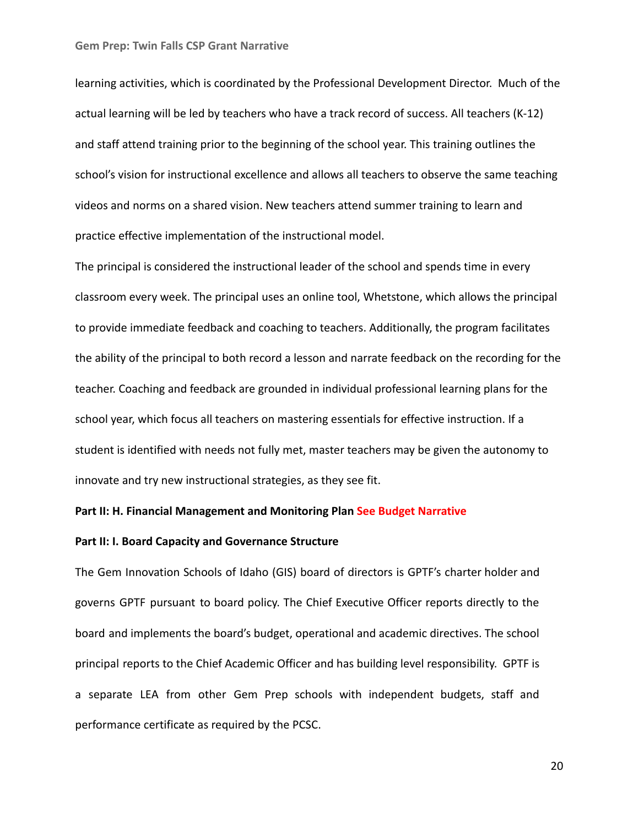learning activities, which is coordinated by the Professional Development Director. Much of the actual learning will be led by teachers who have a track record of success. All teachers (K-12) and staff attend training prior to the beginning of the school year. This training outlines the school's vision for instructional excellence and allows all teachers to observe the same teaching videos and norms on a shared vision. New teachers attend summer training to learn and practice effective implementation of the instructional model.

The principal is considered the instructional leader of the school and spends time in every classroom every week. The principal uses an online tool, Whetstone, which allows the principal to provide immediate feedback and coaching to teachers. Additionally, the program facilitates the ability of the principal to both record a lesson and narrate feedback on the recording for the teacher. Coaching and feedback are grounded in individual professional learning plans for the school year, which focus all teachers on mastering essentials for effective instruction. If a student is identified with needs not fully met, master teachers may be given the autonomy to innovate and try new instructional strategies, as they see fit.

## **Part II: H. Financial Management and Monitoring Plan See Budget Narrative**

### **Part II: I. Board Capacity and Governance Structure**

The Gem Innovation Schools of Idaho (GIS) board of directors is GPTF's charter holder and governs GPTF pursuant to board policy. The Chief Executive Officer reports directly to the board and implements the board's budget, operational and academic directives. The school principal reports to the Chief Academic Officer and has building level responsibility. GPTF is a separate LEA from other Gem Prep schools with independent budgets, staff and performance certificate as required by the PCSC.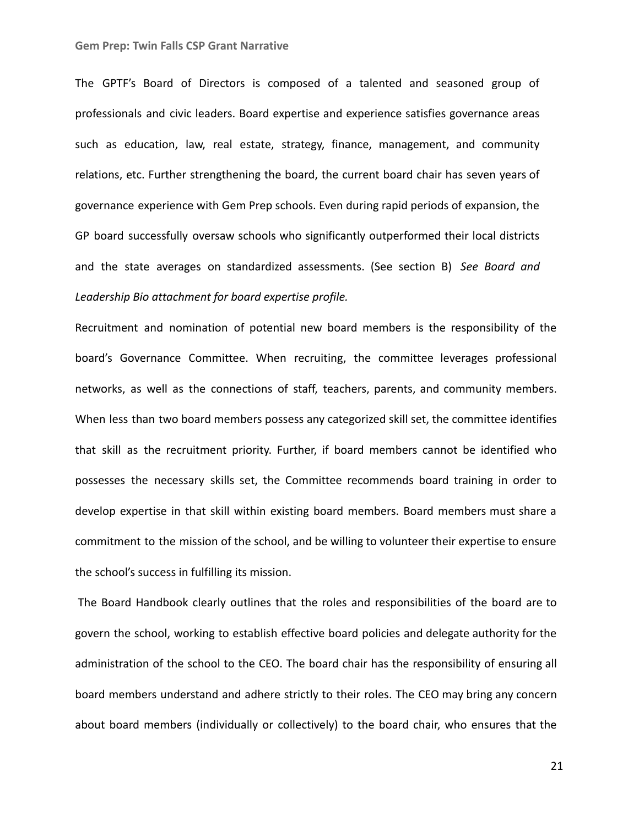The GPTF's Board of Directors is composed of a talented and seasoned group of professionals and civic leaders. Board expertise and experience satisfies governance areas such as education, law, real estate, strategy, finance, management, and community relations, etc. Further strengthening the board, the current board chair has seven years of governance experience with Gem Prep schools. Even during rapid periods of expansion, the GP board successfully oversaw schools who significantly outperformed their local districts and the state averages on standardized assessments. (See section B) *See Board and Leadership Bio attachment for board expertise profile.*

Recruitment and nomination of potential new board members is the responsibility of the board's Governance Committee. When recruiting, the committee leverages professional networks, as well as the connections of staff, teachers, parents, and community members. When less than two board members possess any categorized skill set, the committee identifies that skill as the recruitment priority. Further, if board members cannot be identified who possesses the necessary skills set, the Committee recommends board training in order to develop expertise in that skill within existing board members. Board members must share a commitment to the mission of the school, and be willing to volunteer their expertise to ensure the school's success in fulfilling its mission.

The Board Handbook clearly outlines that the roles and responsibilities of the board are to govern the school, working to establish effective board policies and delegate authority for the administration of the school to the CEO. The board chair has the responsibility of ensuring all board members understand and adhere strictly to their roles. The CEO may bring any concern about board members (individually or collectively) to the board chair, who ensures that the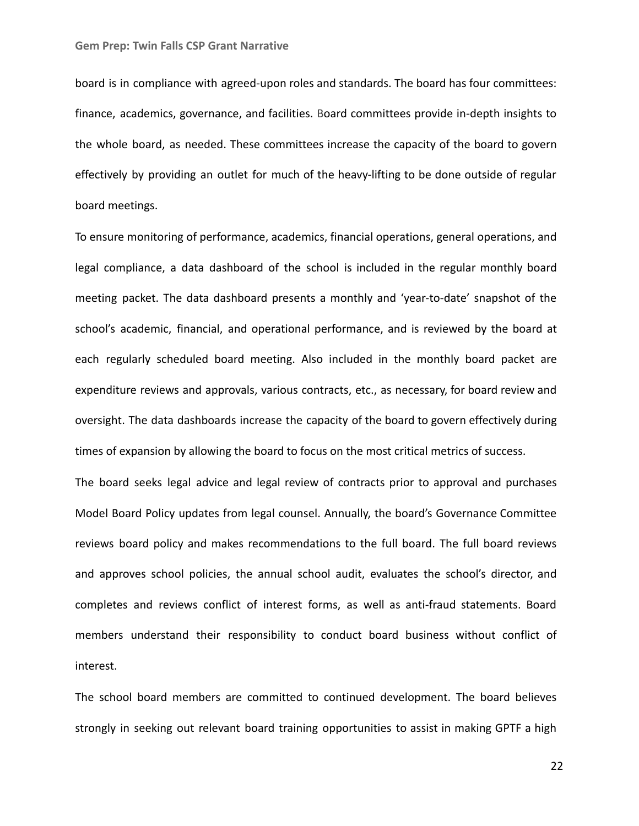board is in compliance with agreed-upon roles and standards. The board has four committees: finance, academics, governance, and facilities. Board committees provide in-depth insights to the whole board, as needed. These committees increase the capacity of the board to govern effectively by providing an outlet for much of the heavy-lifting to be done outside of regular board meetings.

To ensure monitoring of performance, academics, financial operations, general operations, and legal compliance, a data dashboard of the school is included in the regular monthly board meeting packet. The data dashboard presents a monthly and 'year-to-date' snapshot of the school's academic, financial, and operational performance, and is reviewed by the board at each regularly scheduled board meeting. Also included in the monthly board packet are expenditure reviews and approvals, various contracts, etc., as necessary, for board review and oversight. The data dashboards increase the capacity of the board to govern effectively during times of expansion by allowing the board to focus on the most critical metrics of success.

The board seeks legal advice and legal review of contracts prior to approval and purchases Model Board Policy updates from legal counsel. Annually, the board's Governance Committee reviews board policy and makes recommendations to the full board. The full board reviews and approves school policies, the annual school audit, evaluates the school's director, and completes and reviews conflict of interest forms, as well as anti-fraud statements. Board members understand their responsibility to conduct board business without conflict of interest.

The school board members are committed to continued development. The board believes strongly in seeking out relevant board training opportunities to assist in making GPTF a high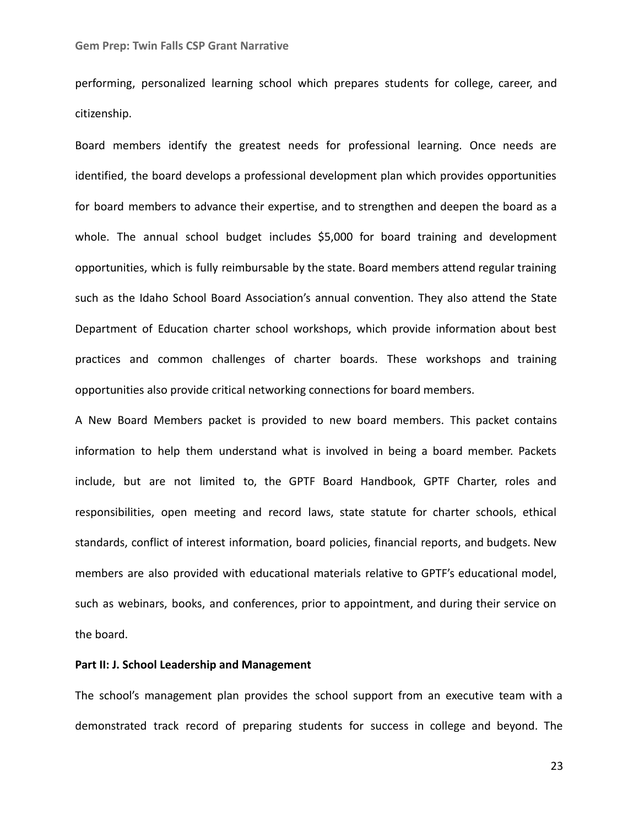performing, personalized learning school which prepares students for college, career, and citizenship.

Board members identify the greatest needs for professional learning. Once needs are identified, the board develops a professional development plan which provides opportunities for board members to advance their expertise, and to strengthen and deepen the board as a whole. The annual school budget includes \$5,000 for board training and development opportunities, which is fully reimbursable by the state. Board members attend regular training such as the Idaho School Board Association's annual convention. They also attend the State Department of Education charter school workshops, which provide information about best practices and common challenges of charter boards. These workshops and training opportunities also provide critical networking connections for board members.

A New Board Members packet is provided to new board members. This packet contains information to help them understand what is involved in being a board member. Packets include, but are not limited to, the GPTF Board Handbook, GPTF Charter, roles and responsibilities, open meeting and record laws, state statute for charter schools, ethical standards, conflict of interest information, board policies, financial reports, and budgets. New members are also provided with educational materials relative to GPTF's educational model, such as webinars, books, and conferences, prior to appointment, and during their service on the board.

# **Part II: J. School Leadership and Management**

The school's management plan provides the school support from an executive team with a demonstrated track record of preparing students for success in college and beyond. The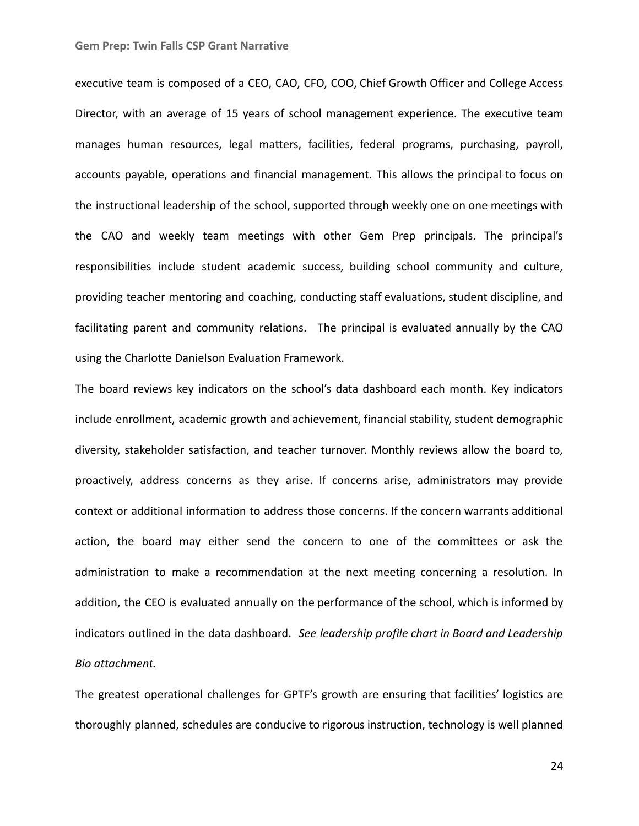executive team is composed of a CEO, CAO, CFO, COO, Chief Growth Officer and College Access Director, with an average of 15 years of school management experience. The executive team manages human resources, legal matters, facilities, federal programs, purchasing, payroll, accounts payable, operations and financial management. This allows the principal to focus on the instructional leadership of the school, supported through weekly one on one meetings with the CAO and weekly team meetings with other Gem Prep principals. The principal's responsibilities include student academic success, building school community and culture, providing teacher mentoring and coaching, conducting staff evaluations, student discipline, and facilitating parent and community relations. The principal is evaluated annually by the CAO using the Charlotte Danielson Evaluation Framework.

The board reviews key indicators on the school's data dashboard each month. Key indicators include enrollment, academic growth and achievement, financial stability, student demographic diversity, stakeholder satisfaction, and teacher turnover. Monthly reviews allow the board to, proactively, address concerns as they arise. If concerns arise, administrators may provide context or additional information to address those concerns. If the concern warrants additional action, the board may either send the concern to one of the committees or ask the administration to make a recommendation at the next meeting concerning a resolution. In addition, the CEO is evaluated annually on the performance of the school, which is informed by indicators outlined in the data dashboard. *See leadership profile chart in Board and Leadership Bio attachment.*

The greatest operational challenges for GPTF's growth are ensuring that facilities' logistics are thoroughly planned, schedules are conducive to rigorous instruction, technology is well planned